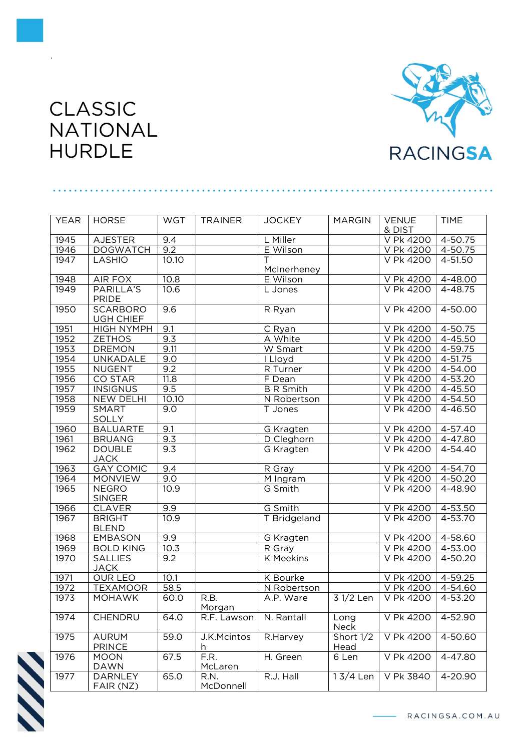

## CLASSIC NATIONAL HURDLE

.

|             | <b>HORSE</b>                   |            |                |                      |               |                        |             |
|-------------|--------------------------------|------------|----------------|----------------------|---------------|------------------------|-------------|
| <b>YEAR</b> |                                | <b>WGT</b> | <b>TRAINER</b> | <b>JOCKEY</b>        | <b>MARGIN</b> | <b>VENUE</b><br>& DIST | <b>TIME</b> |
| 1945        | <b>AJESTER</b>                 | 9.4        |                | L Miller             |               | V Pk 4200              | 4-50.75     |
| 1946        | <b>DOGWATCH</b>                | 9.2        |                | E Wilson             |               | V Pk 4200              | 4-50.75     |
| 1947        | LASHIO                         | 10.10      |                |                      |               | V Pk 4200              | 4-51.50     |
|             |                                |            |                | McInerheney          |               |                        |             |
| 1948        | AIR FOX                        | 10.8       |                | E Wilson             |               | V Pk 4200              | 4-48.00     |
| 1949        | PARILLA'S                      | 10.6       |                | L Jones              |               | $\overline{V}$ Pk 4200 | $4 - 48.75$ |
|             | <b>PRIDE</b>                   |            |                |                      |               |                        |             |
| 1950        | <b>SCARBORO</b>                | 9.6        |                | R Ryan               |               | V Pk 4200              | $4 - 50.00$ |
|             | <b>UGH CHIEF</b>               |            |                |                      |               |                        |             |
| 1951        | <b>HIGH NYMPH</b>              | 9.1        |                | C Ryan               |               | V Pk 4200              | 4-50.75     |
| 1952        | <b>ZETHOS</b>                  | 9.3        |                | A White              |               | V Pk 4200              | 4-45.50     |
| 1953        | <b>DREMON</b>                  | 9.11       |                | W Smart              |               | V Pk 4200              | 4-59.75     |
| 1954        | UNKADALE                       | 9.0        |                | I Lloyd              |               | V Pk 4200              | 4-51.75     |
| 1955        | <b>NUGENT</b>                  | 9.2        |                | R Turner             |               | V Pk 4200              | 4-54.00     |
| 1956        | <b>CO STAR</b>                 | 11.8       |                | F Dean               |               | V Pk 4200              | $4 - 53.20$ |
| 1957        | <b>INSIGNUS</b>                | 9.5        |                | <b>B</b> R Smith     |               | V Pk 4200              | 4-45.50     |
| 1958        | <b>NEW DELHI</b>               | 10.10      |                | N Robertson          |               | V Pk 4200              | $4 - 54.50$ |
| 1959        | <b>SMART</b>                   | 9.0        |                | T Jones              |               | V Pk 4200              | 4-46.50     |
|             | SOLLY                          |            |                |                      |               |                        |             |
| 1960        | <b>BALUARTE</b>                | 9.1        |                | G Kragten            |               | V Pk 4200              | 4-57.40     |
| 1961        | <b>BRUANG</b>                  | 9.3        |                | D Cleghorn           |               | V Pk 4200              | 4-47.80     |
| 1962        | <b>DOUBLE</b>                  | 9.3        |                | G Kragten            |               | V Pk 4200              | $4 - 54.40$ |
|             | <b>JACK</b>                    |            |                |                      |               |                        |             |
| 1963        | <b>GAY COMIC</b>               | 9.4        |                | R Gray               |               | V Pk 4200              | 4-54.70     |
| 1964        | <b>MONVIEW</b>                 | 9.0        |                | M Ingram             |               | V Pk 4200              | 4-50.20     |
| 1965        | <b>NEGRO</b>                   | 10.9       |                | G Smith              |               | V Pk 4200              | 4-48.90     |
|             | <b>SINGER</b>                  |            |                |                      |               |                        |             |
| 1966        | <b>CLAVER</b>                  | 9.9        |                | $\overline{G}$ Smith |               | V Pk 4200              | 4-53.50     |
| 1967        | <b>BRIGHT</b>                  | 10.9       |                | T Bridgeland         |               | V Pk 4200              | 4-53.70     |
| 1968        | <b>BLEND</b><br><b>EMBASON</b> | 9.9        |                | G Kragten            |               | V Pk 4200              | 4-58.60     |
| 1969        | <b>BOLD KING</b>               | 10.3       |                | R Gray               |               | V Pk 4200              | $4 - 53.00$ |
| 1970        | <b>SALLIES</b>                 | 9.2        |                | <b>K</b> Meekins     |               | V Pk 4200              | 4-50.20     |
|             | <b>JACK</b>                    |            |                |                      |               |                        |             |
| 1971        | <b>OUR LEO</b>                 | 10.1       |                | K Bourke             |               | V Pk 4200              | 4-59.25     |
| 1972        | <b>TEXAMOOR</b>                | 58.5       |                | N Robertson          |               | V Pk 4200              | 4-54.60     |
| 1973        | <b>MOHAWK</b>                  | 60.0       | R.B.           | A.P. Ware            | 3 1/2 Len     | V Pk 4200              | 4-53.20     |
|             |                                |            | Morgan         |                      |               |                        |             |
| 1974        | CHENDRU                        | 64.0       | R.F. Lawson    | N. Rantall           | Long<br>Neck  | V Pk 4200              | 4-52.90     |
| 1975        | <b>AURUM</b>                   | 59.0       | J.K.Mcintos    | R.Harvey             | Short 1/2     | V Pk 4200              | 4-50.60     |
|             | <b>PRINCE</b>                  |            | h              |                      | Head          |                        |             |
| 1976        | <b>MOON</b>                    | 67.5       | F.R.           | H. Green             | 6 Len         | V Pk 4200              | $4 - 47.80$ |
|             | <b>DAWN</b>                    |            | McLaren        |                      |               |                        |             |
| 1977        | <b>DARNLEY</b>                 | 65.0       | R.N.           | R.J. Hall            | $13/4$ Len    | V Pk 3840              | $4 - 20.90$ |
|             | FAIR (NZ)                      |            | McDonnell      |                      |               |                        |             |



RACINGSA.COM.AU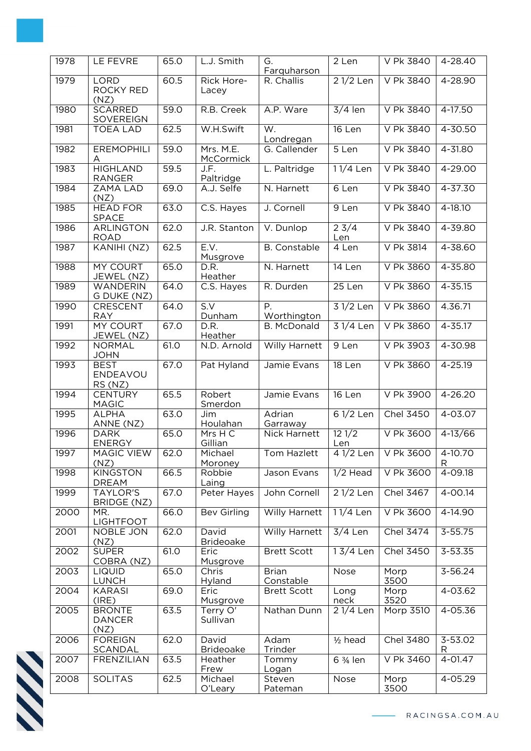| 1978 | LE FEVRE                               | 65.0 | L.J. Smith                | G.<br>Farquharson         | $\overline{2}$ Len     | V Pk 3840                       | 4-28.40      |
|------|----------------------------------------|------|---------------------------|---------------------------|------------------------|---------------------------------|--------------|
| 1979 | <b>LORD</b><br>ROCKY RED<br>(NZ)       | 60.5 | Rick Hore-<br>Lacey       | R. Challis                | $21/2$ Len             | V Pk 3840                       | 4-28.90      |
| 1980 | <b>SCARRED</b><br>SOVEREIGN            | 59.0 | R.B. Creek                | A.P. Ware                 | $3/4$ len              | V Pk 3840                       | 4-17.50      |
| 1981 | <b>TOEA LAD</b>                        | 62.5 | W.H.Swift                 | W.<br>Londregan           | 16 Len                 | V Pk 3840                       | 4-30.50      |
| 1982 | <b>EREMOPHILI</b><br>Α                 | 59.0 | Mrs. M.E.<br>McCormick    | G. Callender              | 5 Len                  | V Pk 3840                       | 4-31.80      |
| 1983 | <b>HIGHLAND</b><br><b>RANGER</b>       | 59.5 | J.F.<br>Paltridge         | L. Paltridge              | 11/4 Len               | V Pk 3840                       | 4-29.00      |
| 1984 | ZAMA LAD<br>(NZ)                       | 69.0 | A.J. Selfe                | N. Harnett                | 6 Len                  | V Pk 3840                       | 4-37.30      |
| 1985 | <b>HEAD FOR</b><br><b>SPACE</b>        | 63.0 | C.S. Hayes                | J. Cornell                | 9 Len                  | V Pk 3840                       | $4 - 18.10$  |
| 1986 | <b>ARLINGTON</b><br><b>ROAD</b>        | 62.0 | J.R. Stanton              | V. Dunlop                 | $2 \frac{3}{4}$<br>Len | V Pk 3840                       | 4-39.80      |
| 1987 | KANIHI (NZ)                            | 62.5 | E.V.<br>Musgrove          | <b>B.</b> Constable       | 4 Len                  | V Pk 3814                       | 4-38.60      |
| 1988 | MY COURT<br>JEWEL (NZ)                 | 65.0 | D.R.<br>Heather           | N. Harnett                | 14 Len                 | V Pk 3860                       | 4-35.80      |
| 1989 | <b>WANDERIN</b><br>G DUKE (NZ)         | 64.0 | C.S. Hayes                | R. Durden                 | 25 Len                 | V Pk 3860                       | $4 - 35.15$  |
| 1990 | CRESCENT<br><b>RAY</b>                 | 64.0 | S.V<br>Dunham             | Ρ.<br>Worthington         | $31/2$ Len             | V Pk 3860                       | 4.36.71      |
| 1991 | <b>MY COURT</b><br>JEWEL (NZ)          | 67.0 | D.R.<br>Heather           | <b>B. McDonald</b>        | 3 1/4 Len              | V Pk 3860                       | $4 - 35.17$  |
| 1992 | <b>NORMAL</b><br><b>JOHN</b>           | 61.0 | N.D. Arnold               | Willy Harnett             | 9 Len                  | V Pk 3903                       | 4-30.98      |
| 1993 | <b>BEST</b><br>ENDEAVOU<br>RS (NZ)     | 67.0 | Pat Hyland                | Jamie Evans               | 18 Len                 | V Pk 3860                       | 4-25.19      |
| 1994 | <b>CENTURY</b><br><b>MAGIC</b>         | 65.5 | Robert<br>Smerdon         | Jamie Evans               | 16 Len                 | V Pk 3900                       | $4 - 26.20$  |
| 1995 | <b>ALPHA</b><br>ANNE (NZ)              | 63.0 | Jim<br>Houlahan           | Adrian<br>Garraway        | 6 1/2 Len              | Chel 3450                       | 4-03.07      |
| 1996 | <b>DARK</b><br><b>ENERGY</b>           | 65.0 | Mrs H C<br>Gillian        | Nick Harnett              | 121/2<br>Len           | V Pk 3600                       | $4 - 13/66$  |
| 1997 | MAGIC VIEW<br>(NZ)                     | 62.0 | Michael<br>Moroney        | Tom Hazlett               |                        | 4 1/2 Len   V Pk 3600   4-10.70 | R            |
| 1998 | <b>KINGSTON</b><br><b>DREAM</b>        | 66.5 | Robbie<br>Laing           | Jason Evans               | $1/2$ Head             | V Pk 3600                       | 4-09.18      |
| 1999 | <b>TAYLOR'S</b><br>BRIDGE (NZ)         | 67.0 | Peter Hayes               | John Cornell              | $21/2$ Len             | Chel 3467                       | $4 - 00.14$  |
| 2000 | MR.<br><b>LIGHTFOOT</b>                | 66.0 | <b>Bev Girling</b>        | <b>Willy Harnett</b>      | 11/4 Len               | V Pk 3600                       | $4 - 14.90$  |
| 2001 | NOBLE JON<br>(NZ)                      | 62.0 | David<br><b>Brideoake</b> | Willy Harnett             | $3/4$ Len              | Chel 3474                       | $3 - 55.75$  |
| 2002 | <b>SUPER</b><br>COBRA (NZ)             | 61.0 | Eric<br>Musgrove          | <b>Brett Scott</b>        | 13/4 Len               | Chel 3450                       | 3-53.35      |
| 2003 | <b>LIQUID</b><br><b>LUNCH</b>          | 65.0 | Chris<br>Hyland           | <b>Brian</b><br>Constable | Nose                   | Morp<br>3500                    | 3-56.24      |
| 2004 | <b>KARASI</b><br>(IRE)                 | 69.0 | Eric<br>Musgrove          | <b>Brett Scott</b>        | Long<br>neck           | Morp<br>3520                    | $4 - 03.62$  |
| 2005 | <b>BRONTE</b><br><b>DANCER</b><br>(NZ) | 63.5 | Terry O'<br>Sullivan      | Nathan Dunn               | 21/4 Len               | Morp 3510                       | 4-05.36      |
| 2006 | <b>FOREIGN</b><br>SCANDAL              | 62.0 | David<br><b>Brideoake</b> | Adam<br>Trinder           | $1/2$ head             | Chel 3480                       | 3-53.02<br>R |
| 2007 | <b>FRENZILIAN</b>                      | 63.5 | Heather<br>Frew           | Tommy<br>Logan            | 6 3/ <sub>4</sub> len  | V Pk 3460                       | 4-01.47      |
| 2008 | <b>SOLITAS</b>                         | 62.5 | Michael<br>O'Leary        | Steven<br>Pateman         | Nose                   | Morp<br>3500                    | 4-05.29      |